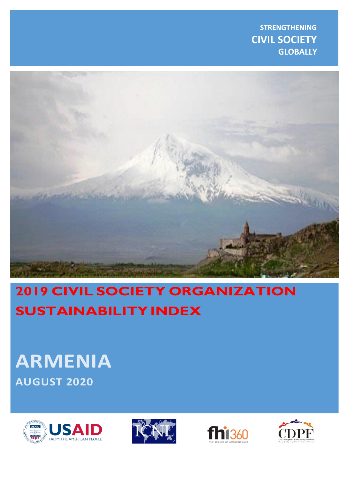**STRENGTHENING CIVIL SOCIETY GLOBALLY**



# **2019 CIVIL SOCIETY ORGANIZATION SUSTAINABILITY INDEX**

# **ARMENIA AUGUST 2 02 0**







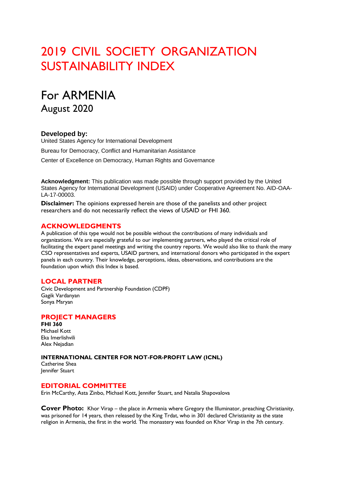## 2019 CIVIL SOCIETY ORGANIZATION SUSTAINABILITY INDEX

## For ARMENIA

August 2020

### **Developed by:**

United States Agency for International Development Bureau for Democracy, Conflict and Humanitarian Assistance Center of Excellence on Democracy, Human Rights and Governance

**Acknowledgment:** This publication was made possible through support provided by the United States Agency for International Development (USAID) under Cooperative Agreement No. AID-OAA-LA-17-00003.

**Disclaimer:** The opinions expressed herein are those of the panelists and other project researchers and do not necessarily reflect the views of USAID or FHI 360.

#### **ACKNOWLEDGMENTS**

A publication of this type would not be possible without the contributions of many individuals and organizations. We are especially grateful to our implementing partners, who played the critical role of facilitating the expert panel meetings and writing the country reports. We would also like to thank the many CSO representatives and experts, USAID partners, and international donors who participated in the expert panels in each country. Their knowledge, perceptions, ideas, observations, and contributions are the foundation upon which this Index is based.

### **LOCAL PARTNER**

Civic Development and Partnership Foundation (CDPF) Gagik Vardanyan Sonya Msryan

### **PROJECT MANAGERS**

**FHI 360**  Michael Kott Eka Imerlishvili Alex Nejadian

#### **INTERNATIONAL CENTER FOR NOT-FOR-PROFIT LAW (ICNL)**

Catherine Shea Jennifer Stuart

#### **EDITORIAL COMMITTEE**

Erin McCarthy, Asta Zinbo, Michael Kott, Jennifer Stuart, and Natalia Shapovalova

**Cover Photo:** Khor Virap – the place in Armenia where Gregory the Illuminator, preaching Christianity, was prisoned for 14 years, then released by the King Trdat, who in 301 declared Christianity as the state religion in Armenia, the first in the world. The monastery was founded on Khor Virap in the 7th century.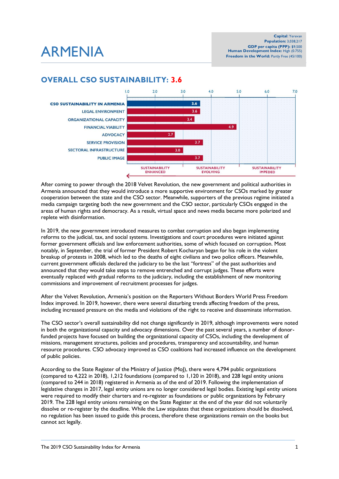## ARMENIA

## **OVERALL CSO SUSTAINABILITY: 3.6**



After coming to power through the 2018 Velvet Revolution, the new government and political authorities in Armenia announced that they would introduce a more supportive environment for CSOs marked by greater cooperation between the state and the CSO sector. Meanwhile, supporters of the previous regime initiated a media campaign targeting both the new government and the CSO sector, particularly CSOs engaged in the areas of human rights and democracy. As a result, virtual space and news media became more polarized and replete with disinformation.

In 2019, the new government introduced measures to combat corruption and also began implementing reforms to the judicial, tax, and social systems. Investigations and court procedures were initiated against former government officials and law enforcement authorities, some of which focused on corruption. Most notably, in September, the trial of former President Robert Kocharyan began for his role in the violent breakup of protests in 2008, which led to the deaths of eight civilians and two police officers. Meanwhile, current government officials declared the judiciary to be the last "fortress" of the past authorities and announced that they would take steps to remove entrenched and corrupt judges. These efforts were eventually replaced with gradual reforms to the judiciary, including the establishment of new monitoring commissions and improvement of recruitment processes for judges.

After the Velvet Revolution, Armenia's position on the Reporters Without Borders World Press Freedom Index improved. In 2019, however, there were several disturbing trends affecting freedom of the press, including increased pressure on the media and violations of the right to receive and disseminate information.

The CSO sector's overall sustainability did not change significantly in 2019, although improvements were noted in both the organizational capacity and advocacy dimensions. Over the past several years, a number of donorfunded projects have focused on building the organizational capacity of CSOs, including the development of missions, management structures, policies and procedures, transparency and accountability, and human resource procedures. CSO advocacy improved as CSO coalitions had increased influence on the development of public policies.

According to the State Register of the Ministry of Justice (MoJ), there were 4,794 public organizations (compared to 4,222 in 2018), 1,212 foundations (compared to 1,120 in 2018), and 228 legal entity unions (compared to 244 in 2018) registered in Armenia as of the end of 2019. Following the implementation of legislative changes in 2017, legal entity unions are no longer considered legal bodies. Existing legal entity unions were required to modify their charters and re-register as foundations or public organizations by February 2019. The 228 legal entity unions remaining on the State Register at the end of the year did not voluntarily dissolve or re-register by the deadline. While the Law stipulates that these organizations should be dissolved, no regulation has been issued to guide this process, therefore these organizations remain on the books but cannot act legally.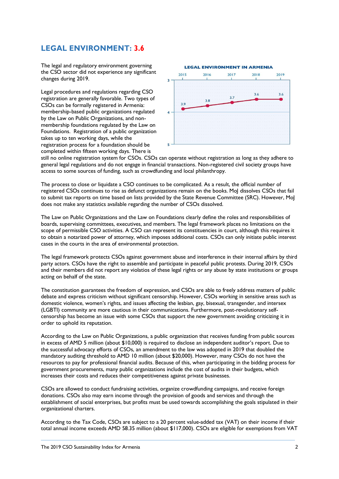## **LEGAL ENVIRONMENT: 3.6**

The legal and regulatory environment governing the CSO sector did not experience any significant changes during 2019.

Legal procedures and regulations regarding CSO registration are generally favorable. Two types of CSOs can be formally registered in Armenia: membership-based public organizations regulated by the Law on Public Organizations, and nonmembership foundations regulated by the Law on Foundations. Registration of a public organization takes up to ten working days, while the registration process for a foundation should be completed within fifteen working days. There is



still no online registration system for CSOs. CSOs can operate without registration as long as they adhere to general legal regulations and do not engage in financial transactions. Non-registered civil society groups have access to some sources of funding, such as crowdfunding and local philanthropy.

The process to close or liquidate a CSO continues to be complicated. As a result, the official number of registered CSOs continues to rise as defunct organizations remain on the books. MoJ dissolves CSOs that fail to submit tax reports on time based on lists provided by the State Revenue Committee (SRC). However, MoJ does not make any statistics available regarding the number of CSOs dissolved.

The Law on Public Organizations and the Law on Foundations clearly define the roles and responsibilities of boards, supervising committees, executives, and members. The legal framework places no limitations on the scope of permissible CSO activities. A CSO can represent its constituencies in court, although this requires it to obtain a notarized power of attorney, which imposes additional costs. CSOs can only initiate public interest cases in the courts in the area of environmental protection.

The legal framework protects CSOs against government abuse and interference in their internal affairs by third party actors. CSOs have the right to assemble and participate in peaceful public protests. During 2019, CSOs and their members did not report any violatios of these legal rights or any abuse by state institutions or groups acting on behalf of the state.

The constitution guarantees the freedom of expression, and CSOs are able to freely address matters of public debate and express criticism without significant censorship. However, CSOs working in sensitive areas such as domestic violence, women's rights, and issues affecting the lesbian, gay, bisexual, transgender, and intersex (LGBTI) community are more cautious in their communications. Furthermore, post-revolutionary selfcensorship has become an issue with some CSOs that support the new government avoiding criticizing it in order to uphold its reputation.

According to the Law on Public Organizations, a public organization that receives funding from public sources in excess of AMD 5 million (about \$10,000) is required to disclose an independent auditor's report. Due to the successful advocacy efforts of CSOs, an amendment to the law was adopted in 2019 that doubled the mandatory auditing threshold to AMD 10 million (about \$20,000). However, many CSOs do not have the resources to pay for professional financial audits. Because of this, when participating in the bidding process for government procurements, many public organizations include the cost of audits in their budgets, which increases their costs and reduces their competitiveness against private businesses.

CSOs are allowed to conduct fundraising activities, organize crowdfunding campaigns, and receive foreign donations. CSOs also may earn income through the provision of goods and services and through the establishment of social enterprises, but profits must be used towards accomplishing the goals stipulated in their organizational charters.

According to the Tax Code, CSOs are subject to a 20 percent value-added tax (VAT) on their income if their total annual income exceeds AMD 58.35 million (about \$117,000). CSOs are eligible for exemptions from VAT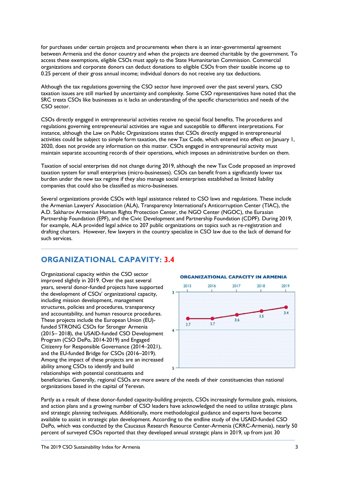for purchases under certain projects and procurements when there is an inter-governmental agreement between Armenia and the donor country and when the projects are deemed charitable by the government. To access these exemptions, eligible CSOs must apply to the State Humanitarian Commission. Commercial organizations and corporate donors can deduct donations to eligible CSOs from their taxable income up to 0.25 percent of their gross annual income; individual donors do not receive any tax deductions.

Although the tax regulations governing the CSO sector have improved over the past several years, CSO taxation issues are still marked by uncertainty and complexity. Some CSO representatives have noted that the SRC treats CSOs like businesses as it lacks an understanding of the specific characteristics and needs of the CSO sector.

CSOs directly engaged in entrepreneurial activities receive no special fiscal benefits. The procedures and regulations governing entrepreneurial activities are vague and susceptible to different interpretations. For instance, although the Law on Public Organizations states that CSOs directly engaged in entrepreneurial activities could be subject to simple form taxation, the new Tax Code, which entered into effect on January 1, 2020, does not provide any information on this matter. CSOs engaged in entrepreneurial activity must maintain separate accounting records of their operations, which imposes an administrative burden on them.

Taxation of social enterprises did not change during 2019, although the new Tax Code proposed an improved taxation system for small enterprises (micro-businesses). CSOs can benefit from a significantly lower tax burden under the new tax regime if they also manage social enterprises established as limited liability companies that could also be classified as micro-businesses.

Several organizations provide CSOs with legal assistance related to CSO laws and regulations. These include the Armenian Lawyers' Association (ALA), Transparency International's Anticorruption Center (TIAC), the A.D. Sakharov Armenian Human Rights Protection Center, the NGO Center (NGOC), the Eurasian Partnership Foundation (EPF), and the Civic Development and Partnership Foundation (CDPF). During 2019, for example, ALA provided legal advice to 207 public organizations on topics such as re-registration and drafting charters. However, few lawyers in the country specialize in CSO law due to the lack of demand for such services.

## **ORGANIZATIONAL CAPAVITY: 3.4**

Organizational capacity within the CSO sector improved slightly in 2019. Over the past several years, several donor-funded projects have supported the development of CSOs' organizational capacity, including mission development, management structures, policies and procedures, transparency and accountability, and human resource procedures. These projects include the European Union (EU) funded STRONG CSOs for Stronger Armenia (2015– 2018), the USAID-funded CSO Development Program (CSO DePo, 2014-2019) and Engaged Citizenry for Responsible Governance (2014–2021), and the EU-funded Bridge for CSOs (2016–2019). Among the impact of these projects are an increased ability among CSOs to identify and build relationships with potential constituents and



beneficiaries. Generally, regional CSOs are more aware of the needs of their constituencies than national organizations based in the capital of Yerevan.

Partly as a result of these donor-funded capacity-building projects, CSOs increasingly formulate goals, missions, and action plans and a growing number of CSO leaders have acknowledged the need to utilize strategic plans and strategic planning techniques. Additionally, more methodological guidance and experts have become available to assist in strategic plan development. According to the endline study of the USAID-funded CSO DePo, which was conducted by the Caucasus Research Resource Center-Armenia (CRRC-Armenia), nearly 50 percent of surveyed CSOs reported that they developed annual strategic plans in 2019, up from just 30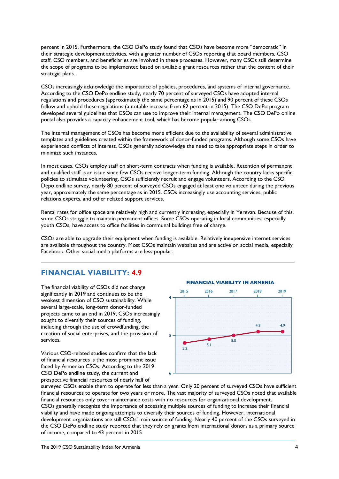percent in 2015. Furthermore, the CSO DePo study found that CSOs have become more "democratic" in their strategic development activities, with a greater number of CSOs reporting that board members, CSO staff, CSO members, and beneficiaries are involved in these processes. However, many CSOs still determine the scope of programs to be implemented based on available grant resources rather than the content of their strategic plans.

CSOs increasingly acknowledge the importance of policies, procedures, and systems of internal governance. According to the CSO DePo endline study, nearly 70 percent of surveyed CSOs have adopted internal regulations and procedures (approximately the same percentage as in 2015) and 90 percent of these CSOs follow and uphold these regulations (a notable increase from 62 percent in 2015). The CSO DePo program developed several guidelines that CSOs can use to improve their internal management. The CSO DePo online portal also provides a capacity enhancement tool, which has become popular among CSOs.

The internal management of CSOs has become more efficient due to the availability of several administrative templates and guidelines created within the framework of donor-funded programs. Although some CSOs have experienced conflicts of interest, CSOs generally acknowledge the need to take appropriate steps in order to minimize such instances.

In most cases, CSOs employ staff on short-term contracts when funding is available. Retention of permanent and qualified staff is an issue since few CSOs receive longer-term funding. Although the country lacks specific policies to stimulate volunteering, CSOs sufficiently recruit and engage volunteers. According to the CSO Depo endline survey, nearly 80 percent of surveyed CSOs engaged at least one volunteer during the previous year, approximately the same percentage as in 2015. CSOs increasingly use accounting services, public relations experts, and other related support services.

Rental rates for office space are relatively high and currently increasing, especially in Yerevan. Because of this, some CSOs struggle to maintain permanent offices. Some CSOs operating in local communities, especially youth CSOs, have access to office facilities in communal buildings free of charge.

CSOs are able to upgrade their equipment when funding is available. Relatively inexpensive internet services are available throughout the country. Most CSOs maintain websites and are active on social media, especially Facebook. Other social media platforms are less popular.

### **FINANCIAL VIABILITY: 4.9**

The financial viability of CSOs did not change significantly in 2019 and continues to be the weakest dimension of CSO sustainability. While several large-scale, long-term donor-funded projects came to an end in 2019, CSOs increasingly sought to diversify their sources of funding, including through the use of crowdfunding, the creation of social enterprises, and the provision of services.

Various CSO-related studies confirm that the lack of financial resources is the most prominent issue faced by Armenian CSOs. According to the 2019 CSO DePo endline study, the current and prospective financial resources of nearly half of





surveyed CSOs enable them to operate for less than a year. Only 20 percent of surveyed CSOs have sufficient financial resources to operate for two years or more. The vast majority of surveyed CSOs noted that available financial resources only cover maintenance costs with no resources for organizational development. CSOs generally recognize the importance of accessing multiple sources of funding to increase their financial viability and have made ongoing attempts to diversify their sources of funding. However, international development organizations are still CSOs' main source of funding. Nearly 40 percent of the CSOs surveyed in the CSO DePo endline study reported that they rely on grants from international donors as a primary source of income, compared to 43 percent in 2015.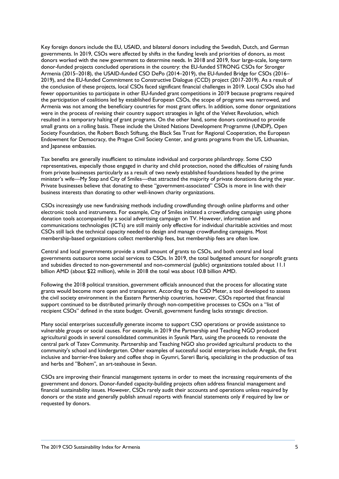Key foreign donors include the EU, USAID, and bilateral donors including the Swedish, Dutch, and German governments. In 2019, CSOs were affected by shifts in the funding levels and priorities of donors, as most donors worked with the new government to determine needs. In 2018 and 2019, four large-scale, long-term donor-funded projects concluded operations in the country: the EU-funded STRONG CSOs for Stronger Armenia (2015–2018), the USAID-funded CSO DePo (2014–2019), the EU-funded Bridge for CSOs (2016– 2019), and the EU-funded Commitment to Constructive Dialogue (CCD) project (2017-2019). As a result of the conclusion of these projects, local CSOs faced significant financial challenges in 2019. Local CSOs also had fewer opportunities to participate in other EU-funded grant competitions in 2019 because programs required the participation of coalitions led by established European CSOs, the scope of programs was narrowed, and Armenia was not among the beneficiary countries for most grant offers. In addition, some donor organizations were in the process of revising their country support strategies in light of the Velvet Revolution, which resulted in a temporary halting of grant programs. On the other hand, some donors continued to provide small grants on a rolling basis. These include the United Nations Development Programme (UNDP), Open Society Foundation, the Robert Bosch Stiftung, the Black Sea Trust for Regional Cooperation, the European Endowment for Democracy, the Prague Civil Society Center, and grants programs from the US, Lithuanian, and Japanese embassies.

Tax benefits are generally insufficient to stimulate individual and corporate philanthropy. Some CSO representatives, especially those engaged in charity and child protection, noted the difficulties of raising funds from private businesses particularly as a result of two newly established foundations headed by the prime minister's wife—My Step and City of Smiles—that attracted the majority of private donations during the year. Private businesses believe that donating to these "government-associated" CSOs is more in line with their business interests than donating to other well-known charity organizations.

CSOs increasingly use new fundraising methods including crowdfunding through online platforms and other electronic tools and instruments. For example, City of Smiles initiated a crowdfunding campaign using phone donation tools accompanied by a social advertising campaign on TV. However, information and communications technologies (ICTs) are still mainly only effective for individual charitable activities and most CSOs still lack the technical capacity needed to design and manage crowdfunding campaigns. Most membership-based organizations collect membership fees, but membership fees are often low.

Central and local governments provide a small amount of grants to CSOs, and both central and local governments outsource some social services to CSOs. In 2019, the total budgeted amount for nonprofit grants and subsidies directed to non-governmental and non-commercial (public) organizations totaled about 11.1 billion AMD (about \$22 million), while in 2018 the total was about 10.8 billion AMD.

Following the 2018 political transition, government officials announced that the process for allocating state grants would become more open and transparent. According to the CSO Meter, a tool developed to assess the civil society environment in the Eastern Partnership countries, however, CSOs reported that financial support continued to be distributed primarily through non-competitive processes to CSOs on a "list of recipient CSOs" defined in the state budget. Overall, government funding lacks strategic direction.

Many social enterprises successfully generate income to support CSO operations or provide assistance to vulnerable groups or social causes. For example, in 2019 the Partnership and Teaching NGO produced agricultural goods in several consolidated communities in Syunik Marz, using the proceeds to renovate the central park of Tatev Community. Partnership and Teaching NGO also provided agricultural products to the community's school and kindergarten. Other examples of successful social enterprises include Aregak, the first inclusive and barrier-free bakery and coffee shop in Gyumri, Sareri Bariq, specializing in the production of tea and herbs and "Bohem", an art-teahouse in Sevan.

CSOs are improving their financial management systems in order to meet the increasing requirements of the government and donors. Donor-funded capacity-building projects often address financial management and financial sustainability issues. However, CSOs rarely audit their accounts and operations unless required by donors or the state and generally publish annual reports with financial statements only if required by law or requested by donors.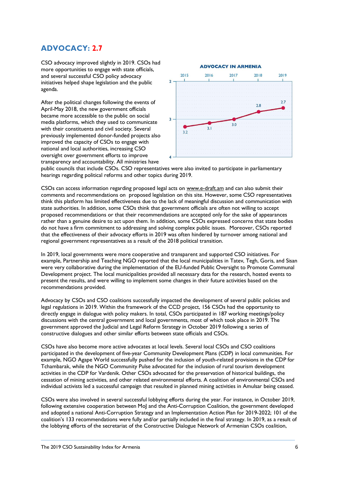## **ADVOCACY: 2.7**

CSO advocacy improved slightly in 2019. CSOs had more opportunities to engage with state officials, and several successful CSO policy advocacy initiatives helped shape legislation and the public agenda.

After the political changes following the events of April-May 2018, the new government officials became more accessible to the public on social media platforms, which they used to communicate with their constituents and civil society. Several previously implemented donor-funded projects also improved the capacity of CSOs to engage with national and local authorities, increasing CSO oversight over government efforts to improve transparency and accountability. All ministries have



public councils that include CSOs. CSO representatives were also invited to participate in parliamentary hearings regarding political reforms and other topics during 2019.

CSOs can access information regarding proposed legal acts on [www.e-draft.am](http://www.e-draft.am/) and can also submit their comments and recommendations on proposed legislation on this site. However, some CSO representatives think this platform has limited effectiveness due to the lack of meaningful discussion and communication with state authorities. In addition, some CSOs think that government officials are often not willing to accept proposed recommendations or that their recommendations are accepted only for the sake of appearances rather than a genuine desire to act upon them. In addition, some CSOs expressed concerns that state bodies do not have a firm commitment to addressing and solving complex public issues. Moreover, CSOs reported that the effectiveness of their advocacy efforts in 2019 was often hindered by turnover among national and regional government representatives as a result of the 2018 political transition.

In 2019, local governments were more cooperative and transparent and supported CSO initiatives. For example, Partnership and Teaching NGO reported that the local municipalities in Tatev, Tegh, Goris, and Sisan were very collaborative during the implementation of the EU-funded Public Oversight to Promote Communal Development project. The local municipalities provided all necessary data for the research, hosted events to present the results, and were willing to implement some changes in their future activities based on the recommendations provided.

Advocacy by CSOs and CSO coalitions successfully impacted the development of several public policies and legal regulations in 2019. Within the framework of the CCD project, 156 CSOs had the opportunity to directly engage in dialogue with policy makers. In total, CSOs participated in 187 working meetings/policy discussions with the central government and local governments, most of which took place in 2019. The government approved the Judicial and Legal Reform Strategy in October 2019 following a series of constructive dialogues and other similar efforts between state officials and CSOs.

CSOs have also become more active advocates at local levels. Several local CSOs and CSO coalitions participated in the development of five-year Community Development Plans (CDP) in local communities. For example, NGO Agape World successfully pushed for the inclusion of youth-related provisions in the CDP for Tchambarak, while the NGO Community Pulse advocated for the inclusion of rural tourism development activities in the CDP for Vardenik. Other CSOs advocated for the preservation of historical buildings, the cessation of mining activities, and other related environmental efforts. A coalition of environmental CSOs and individual activists led a successful campaign that resulted in planned mining activities in Amulsar being ceased.

CSOs were also involved in several successful lobbying efforts during the year. For instance, in October 2019, following extensive cooperation between MoJ and the Anti-Corruption Coalition, the government developed and adopted a national Anti-Corruption Strategy and an Implementation Action Plan for 2019-2022; 101 of the coalition's 133 recommendations were fully and/or partially included in the final strategy. In 2019, as a result of the lobbying efforts of the secretariat of the Constructive Dialogue Network of Armenian CSOs coalition,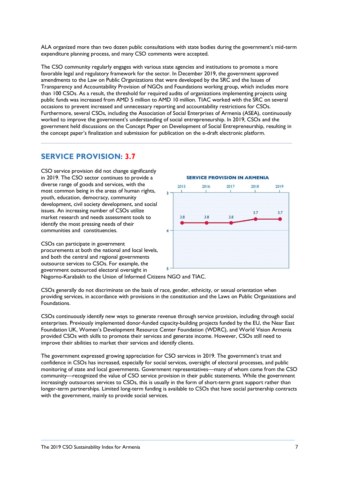ALA organized more than two dozen public consultations with state bodies during the government's mid-term expenditure planning process, and many CSO comments were accepted.

The CSO community regularly engages with various state agencies and institutions to promote a more favorable legal and regulatory framework for the sector. In December 2019, the government approved amendments to the Law on Public Organizations that were developed by the SRC and the Issues of Transparency and Accountability Provision of NGOs and Foundations working group, which includes more than 100 CSOs. As a result, the threshold for required audits of organizations implementing projects using public funds was increased from AMD 5 million to AMD 10 million. TIAC worked with the SRC on several occasions to prevent increased and unnecessary reporting and accountability restrictions for CSOs. Furthermore, several CSOs, including the Association of Social Enterprises of Armenia (ASEA), continuously worked to improve the government's understanding of social entrepreneurship. In 2019, CSOs and the government held discussions on the Concept Paper on Development of Social Entrepreneurship, resulting in the concept paper's finalization and submission for publication on the e-draft electronic platform.

### **SERVICE PROVISION: 3.7**

CSO service provision did not change significantly in 2019. The CSO sector continues to provide a diverse range of goods and services, with the most common being in the areas of human rights, youth, education, democracy, community development, civil society development, and social issues. An increasing number of CSOs utilize market research and needs assessment tools to identify the most pressing needs of their communities and constituencies.

CSOs can participate in government procurements at both the national and local levels, and both the central and regional governments outsource services to CSOs. For example, the government outsourced electoral oversight in Nagorno-Karabakh to the Union of Informed Citizens NGO and TIAC.



CSOs generally do not discriminate on the basis of race, gender, ethnicity, or sexual orientation when providing services, in accordance with provisions in the constitution and the Laws on Public Organizations and Foundations.

CSOs continuously identify new ways to generate revenue through service provision, including through social enterprises. Previously implemented donor-funded capacity-building projects funded by the EU, the Near East Foundation UK, Women's Development Resource Center Foundation (WDRC), and World Vision Armenia provided CSOs with skills to promote their services and generate income. However, CSOs still need to improve their abilities to market their services and identify clients.

The government expressed growing appreciation for CSO services in 2019. The government's trust and confidence in CSOs has increased, especially for social services, oversight of electoral processes, and public monitoring of state and local governments. Government representatives—many of whom come from the CSO community—recognized the value of CSO service provision in their public statements. While the government increasingly outsources services to CSOs, this is usually in the form of short-term grant support rather than longer-term partnerships. Limited long-term funding is available to CSOs that have social partnership contracts with the government, mainly to provide social services.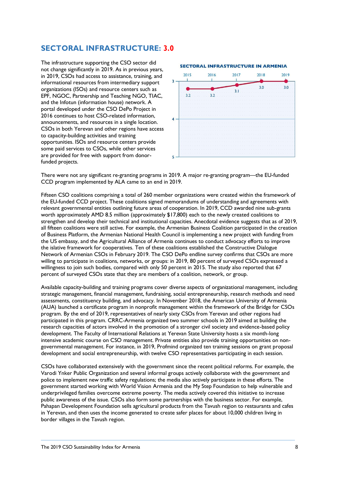## **SECTORAL INFRASTRUCTURE: 3.0**

The infrastructure supporting the CSO sector did not change significantly in 2019. As in previous years, in 2019, CSOs had access to assistance, training, and informational resources from intermediary support organizations (ISOs) and resource centers such as EPF, NGOC, Partnership and Teaching NGO, TIAC, and the Infotun (information house) network. A portal developed under the CSO DePo Project in 2016 continues to host CSO-related information, announcements, and resources in a single location. CSOs in both Yerevan and other regions have access to capacity-building activities and training opportunities. ISOs and resource centers provide some paid services to CSOs, while other services are provided for free with support from donorfunded projects.

### **SECTORAL INFRASTRUCTURE IN ARMENIA**



There were not any significant re-granting programs in 2019. A major re-granting program—the EU-funded CCD program implemented by ALA came to an end in 2019․

Fifteen CSO coalitions comprising a total of 260 member organizations were created within the framework of the EU-funded CCD project. These coalitions signed memorandums of understanding and agreements with relevant governmental entities outlining future areas of cooperation. In 2019, CCD awarded nine sub-grants worth approximately AMD 8.5 million (approximately \$17,800) each to the newly created coalitions to strengthen and develop their technical and institutional capacities. Anecdotal evidence suggests that as of 2019, all fifteen coalitions were still active. For example, the Armenian Business Coalition participated in the creation of Business Platform, the Armenian National Health Council is implementing a new project with funding from the US embassy, and the Agricultural Alliance of Armenia continues to conduct advocacy efforts to improve the islative framework for cooperatives. Ten of these coalitions established the Constructive Dialogue Network of Armenian CSOs in February 2019. The CSO DePo endline survey confirms that CSOs are more willing to participate in coalitions, networks, or groups: in 2019, 80 percent of surveyed CSOs expressed a willingness to join such bodies, compared with only 50 percent in 2015. The study also reported that 67 percent of surveyed CSOs state that they are members of a coalition, network, or group.

Available capacity-building and training programs cover diverse aspects of organizational management, including strategic management, financial management, fundraising, social entrepreneurship, research methods and need assessments, constituency building, and advocacy. In November 2018, the American University of Armenia (AUA) launched a certificate program in nonprofit management within the framework of the Bridge for CSOs program. By the end of 2019, representatives of nearly sixty CSOs from Yerevan and other regions had participated in this program. CRRC-Armenia organized two summer schools in 2019 aimed at building the research capacities of actors involved in the promotion of a stronger civil society and evidence-based policy development. The Faculty of International Relations at Yerevan State University hosts a six month-long intensive academic course on CSO management. Private entities also provide training opportunities on nongovernmental management. For instance, in 2019, Profmind organized ten training sessions on grant proposal development and social entrepreneurship, with twelve CSO representatives participating in each session.

CSOs have collaborated extensively with the government since the recent political reforms. For example, the Varodi Ynker Public Organization and several informal groups actively collaborate with the government and police to implement new traffic safety regulations; the media also actively participate in these efforts. The government started working with World Vision Armenia and the My Step Foundation to help vulnerable and underprivileged families overcome extreme poverty. The media actively covered this initiative to increase public awareness of the issue. CSOs also form some partnerships with the business sector. For example, Pahapan Development Foundation sells agricultural products from the Tavush region to restaurants and cafes in Yerevan, and then uses the income generated to create safer places for about 10,000 children living in border villages in the Tavush region.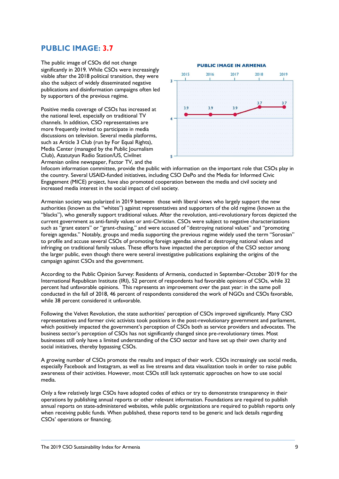### **PUBLIC IMAGE: 3.7**

The public image of CSOs did not change significantly in 2019․ While CSOs were increasingly visible after the 2018 political transition, they were also the subject of widely disseminated negative publications and disinformation campaigns often led by supporters of the previous regime.

Positive media coverage of CSOs has increased at the national level, especially on traditional TV channels. In addition, CSO representatives are more frequently invited to participate in media discussions on television. Several media platforms, such as Article 3 Club (run by For Equal Rights), Media Center (managed by the Public Journalism Club), Azatutyun Radio Station/US, Civilnet Armenian online newspaper, Factor TV, and the



Infocom information committee, provide the public with information on the important role that CSOs play in the country. Several USAID-funded initiatives, including CSO DePo and the Media for Informed Civic Engagement (MICE) project, have also promoted cooperation between the media and civil society and increased media interest in the social impact of civil society.

Armenian society was polarized in 2019 between those with liberal views who largely support the new authorities (known as the "whites") against representatives and supporters of the old regime (known as the "blacks"), who generally support traditional values. After the revolution, anti-revolutionary forces depicted the current government as anti-family values or anti-Christian. CSOs were subject to negative characterizations such as "grant eaters" or "grant-chasing," and were accused of "destroying national values" and "promoting foreign agendas." Notably, groups and media supporting the previous regime widely used the term "Sorosian" to profile and accuse several CSOs of promoting foreign agendas aimed at destroying national values and infringing on traditional family values. These efforts have impacted the perception of the CSO sector among the larger public, even though there were several investigative publications explaining the origins of the campaign against CSOs and the government.

According to the Public Opinion Survey: Residents of Armenia, conducted in September-October 2019 for the International Republican Institute (IRI), 52 percent of respondents had favorable opinions of CSOs, while 32 percent had unfavorable opinions. This represents an improvement over the past year: in the same poll conducted in the fall of 2018, 46 percent of respondents considered the work of NGOs and CSOs favorable, while 38 percent considered it unfavorable.

Following the Velvet Revolution, the state authorities' perception of CSOs improved significantly. Many CSO representatives and former civic activists took positions in the post-revolutionary government and parliament, which positively impacted the government's perception of CSOs both as service providers and advocates. The business sector's perception of CSOs has not significantly changed since pre-revolutionary times. Most businesses still only have a limited understanding of the CSO sector and have set up their own charity and social initiatives, thereby bypassing CSOs.

A growing number of CSOs promote the results and impact of their work. CSOs increasingly use social media, especially Facebook and Instagram, as well as live streams and data visualization tools in order to raise public awareness of their activities. However, most CSOs still lack systematic approaches on how to use social media.

Only a few relatively large CSOs have adopted codes of ethics or try to demonstrate transparency in their operations by publishing annual reports or other relevant information. Foundations are required to publish annual reports on state-administered websites, while public organizations are required to publish reports only when receiving public funds. When published, these reports tend to be generic and lack details regarding CSOs' operations or financing.